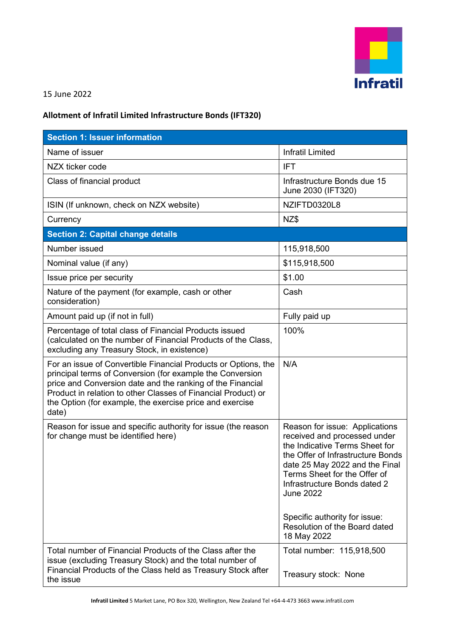

## 15 June 2022

## **Allotment of Infratil Limited Infrastructure Bonds (IFT320)**

| <b>Section 1: Issuer information</b>                                                                                                                                                                                                                                                                                            |                                                                                                                                                                                                                                                                                                                                              |
|---------------------------------------------------------------------------------------------------------------------------------------------------------------------------------------------------------------------------------------------------------------------------------------------------------------------------------|----------------------------------------------------------------------------------------------------------------------------------------------------------------------------------------------------------------------------------------------------------------------------------------------------------------------------------------------|
| Name of issuer                                                                                                                                                                                                                                                                                                                  | <b>Infratil Limited</b>                                                                                                                                                                                                                                                                                                                      |
| NZX ticker code                                                                                                                                                                                                                                                                                                                 | <b>IFT</b>                                                                                                                                                                                                                                                                                                                                   |
| Class of financial product                                                                                                                                                                                                                                                                                                      | Infrastructure Bonds due 15<br>June 2030 (IFT320)                                                                                                                                                                                                                                                                                            |
| ISIN (If unknown, check on NZX website)                                                                                                                                                                                                                                                                                         | NZIFTD0320L8                                                                                                                                                                                                                                                                                                                                 |
| Currency                                                                                                                                                                                                                                                                                                                        | NZ\$                                                                                                                                                                                                                                                                                                                                         |
| <b>Section 2: Capital change details</b>                                                                                                                                                                                                                                                                                        |                                                                                                                                                                                                                                                                                                                                              |
| Number issued                                                                                                                                                                                                                                                                                                                   | 115,918,500                                                                                                                                                                                                                                                                                                                                  |
| Nominal value (if any)                                                                                                                                                                                                                                                                                                          | \$115,918,500                                                                                                                                                                                                                                                                                                                                |
| Issue price per security                                                                                                                                                                                                                                                                                                        | \$1.00                                                                                                                                                                                                                                                                                                                                       |
| Nature of the payment (for example, cash or other<br>consideration)                                                                                                                                                                                                                                                             | Cash                                                                                                                                                                                                                                                                                                                                         |
| Amount paid up (if not in full)                                                                                                                                                                                                                                                                                                 | Fully paid up                                                                                                                                                                                                                                                                                                                                |
| Percentage of total class of Financial Products issued<br>(calculated on the number of Financial Products of the Class,<br>excluding any Treasury Stock, in existence)                                                                                                                                                          | 100%                                                                                                                                                                                                                                                                                                                                         |
| For an issue of Convertible Financial Products or Options, the<br>principal terms of Conversion (for example the Conversion<br>price and Conversion date and the ranking of the Financial<br>Product in relation to other Classes of Financial Product) or<br>the Option (for example, the exercise price and exercise<br>date) | N/A                                                                                                                                                                                                                                                                                                                                          |
| Reason for issue and specific authority for issue (the reason<br>for change must be identified here)                                                                                                                                                                                                                            | Reason for issue: Applications<br>received and processed under<br>the Indicative Terms Sheet for<br>the Offer of Infrastructure Bonds<br>date 25 May 2022 and the Final<br>Terms Sheet for the Offer of<br>Infrastructure Bonds dated 2<br><b>June 2022</b><br>Specific authority for issue:<br>Resolution of the Board dated<br>18 May 2022 |
| Total number of Financial Products of the Class after the<br>issue (excluding Treasury Stock) and the total number of<br>Financial Products of the Class held as Treasury Stock after<br>the issue                                                                                                                              | Total number: 115,918,500<br>Treasury stock: None                                                                                                                                                                                                                                                                                            |